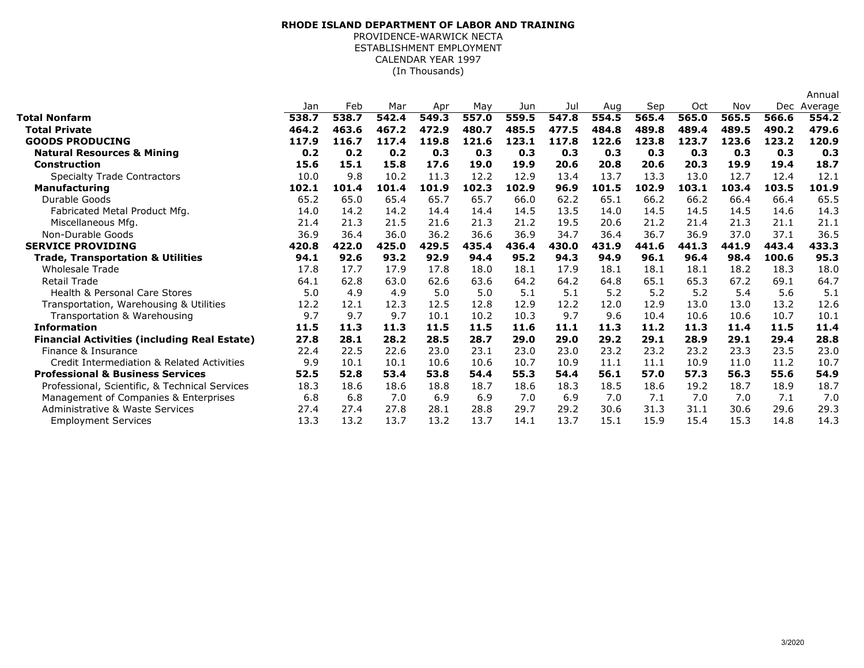## (In Thousands)**RHODE ISLAND DEPARTMENT OF LABOR AND TRAINING**PROVIDENCE-WARWICK NECTA ESTABLISHMENT EMPLOYMENTCALENDAR YEAR 1997

|                                                     |       |       |       |       |       |       |       |       |       |       |       |                | Annual |
|-----------------------------------------------------|-------|-------|-------|-------|-------|-------|-------|-------|-------|-------|-------|----------------|--------|
|                                                     | Jan   | Feb   | Mar   | Apr   | May   | Jun   | Jul   | Aug   | Sep   | Oct   | Nov   | Dec<br>Average |        |
| Total Nonfarm                                       | 538.7 | 538.7 | 542.4 | 549.3 | 557.0 | 559.5 | 547.8 | 554.5 | 565.4 | 565.0 | 565.5 | 566.6          | 554.2  |
| <b>Total Private</b>                                | 464.2 | 463.6 | 467.2 | 472.9 | 480.7 | 485.5 | 477.5 | 484.8 | 489.8 | 489.4 | 489.5 | 490.2          | 479.6  |
| <b>GOODS PRODUCING</b>                              | 117.9 | 116.7 | 117.4 | 119.8 | 121.6 | 123.1 | 117.8 | 122.6 | 123.8 | 123.7 | 123.6 | 123.2          | 120.9  |
| <b>Natural Resources &amp; Mining</b>               | 0.2   | 0.2   | 0.2   | 0.3   | 0.3   | 0.3   | 0.3   | 0.3   | 0.3   | 0.3   | 0.3   | 0.3            | 0.3    |
| <b>Construction</b>                                 | 15.6  | 15.1  | 15.8  | 17.6  | 19.0  | 19.9  | 20.6  | 20.8  | 20.6  | 20.3  | 19.9  | 19.4           | 18.7   |
| <b>Specialty Trade Contractors</b>                  | 10.0  | 9.8   | 10.2  | 11.3  | 12.2  | 12.9  | 13.4  | 13.7  | 13.3  | 13.0  | 12.7  | 12.4           | 12.1   |
| <b>Manufacturing</b>                                | 102.1 | 101.4 | 101.4 | 101.9 | 102.3 | 102.9 | 96.9  | 101.5 | 102.9 | 103.1 | 103.4 | 103.5          | 101.9  |
| Durable Goods                                       | 65.2  | 65.0  | 65.4  | 65.7  | 65.7  | 66.0  | 62.2  | 65.1  | 66.2  | 66.2  | 66.4  | 66.4           | 65.5   |
| Fabricated Metal Product Mfg.                       | 14.0  | 14.2  | 14.2  | 14.4  | 14.4  | 14.5  | 13.5  | 14.0  | 14.5  | 14.5  | 14.5  | 14.6           | 14.3   |
| Miscellaneous Mfg.                                  | 21.4  | 21.3  | 21.5  | 21.6  | 21.3  | 21.2  | 19.5  | 20.6  | 21.2  | 21.4  | 21.3  | 21.1           | 21.1   |
| Non-Durable Goods                                   | 36.9  | 36.4  | 36.0  | 36.2  | 36.6  | 36.9  | 34.7  | 36.4  | 36.7  | 36.9  | 37.0  | 37.1           | 36.5   |
| <b>SERVICE PROVIDING</b>                            | 420.8 | 422.0 | 425.0 | 429.5 | 435.4 | 436.4 | 430.0 | 431.9 | 441.6 | 441.3 | 441.9 | 443.4          | 433.3  |
| <b>Trade, Transportation &amp; Utilities</b>        | 94.1  | 92.6  | 93.2  | 92.9  | 94.4  | 95.2  | 94.3  | 94.9  | 96.1  | 96.4  | 98.4  | 100.6          | 95.3   |
| <b>Wholesale Trade</b>                              | 17.8  | 17.7  | 17.9  | 17.8  | 18.0  | 18.1  | 17.9  | 18.1  | 18.1  | 18.1  | 18.2  | 18.3           | 18.0   |
| <b>Retail Trade</b>                                 | 64.1  | 62.8  | 63.0  | 62.6  | 63.6  | 64.2  | 64.2  | 64.8  | 65.1  | 65.3  | 67.2  | 69.1           | 64.7   |
| Health & Personal Care Stores                       | 5.0   | 4.9   | 4.9   | 5.0   | 5.0   | 5.1   | 5.1   | 5.2   | 5.2   | 5.2   | 5.4   | 5.6            | 5.1    |
| Transportation, Warehousing & Utilities             | 12.2  | 12.1  | 12.3  | 12.5  | 12.8  | 12.9  | 12.2  | 12.0  | 12.9  | 13.0  | 13.0  | 13.2           | 12.6   |
| Transportation & Warehousing                        | 9.7   | 9.7   | 9.7   | 10.1  | 10.2  | 10.3  | 9.7   | 9.6   | 10.4  | 10.6  | 10.6  | 10.7           | 10.1   |
| <b>Information</b>                                  | 11.5  | 11.3  | 11.3  | 11.5  | 11.5  | 11.6  | 11.1  | 11.3  | 11.2  | 11.3  | 11.4  | 11.5           | 11.4   |
| <b>Financial Activities (including Real Estate)</b> | 27.8  | 28.1  | 28.2  | 28.5  | 28.7  | 29.0  | 29.0  | 29.2  | 29.1  | 28.9  | 29.1  | 29.4           | 28.8   |
| Finance & Insurance                                 | 22.4  | 22.5  | 22.6  | 23.0  | 23.1  | 23.0  | 23.0  | 23.2  | 23.2  | 23.2  | 23.3  | 23.5           | 23.0   |
| Credit Intermediation & Related Activities          | 9.9   | 10.1  | 10.1  | 10.6  | 10.6  | 10.7  | 10.9  | 11.1  | 11.1  | 10.9  | 11.0  | 11.2           | 10.7   |
| <b>Professional &amp; Business Services</b>         | 52.5  | 52.8  | 53.4  | 53.8  | 54.4  | 55.3  | 54.4  | 56.1  | 57.0  | 57.3  | 56.3  | 55.6           | 54.9   |
| Professional, Scientific, & Technical Services      | 18.3  | 18.6  | 18.6  | 18.8  | 18.7  | 18.6  | 18.3  | 18.5  | 18.6  | 19.2  | 18.7  | 18.9           | 18.7   |
| Management of Companies & Enterprises               | 6.8   | 6.8   | 7.0   | 6.9   | 6.9   | 7.0   | 6.9   | 7.0   | 7.1   | 7.0   | 7.0   | 7.1            | 7.0    |
| Administrative & Waste Services                     | 27.4  | 27.4  | 27.8  | 28.1  | 28.8  | 29.7  | 29.2  | 30.6  | 31.3  | 31.1  | 30.6  | 29.6           | 29.3   |
| <b>Employment Services</b>                          | 13.3  | 13.2  | 13.7  | 13.2  | 13.7  | 14.1  | 13.7  | 15.1  | 15.9  | 15.4  | 15.3  | 14.8           | 14.3   |
|                                                     |       |       |       |       |       |       |       |       |       |       |       |                |        |